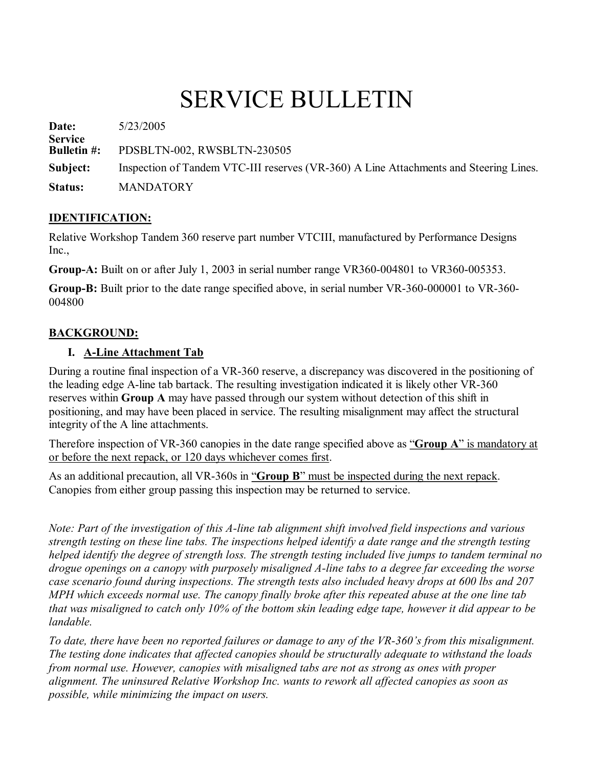# SERVICE BULLETIN

**Date:** 5/23/2005 **Service PDSBLTN-002, RWSBLTN-230505 Subject:** Inspection of Tandem VTC-III reserves (VR-360) A Line Attachments and Steering Lines. **Status:** MANDATORY

#### **IDENTIFICATION:**

Relative Workshop Tandem 360 reserve part number VTCIII, manufactured by Performance Designs Inc.,

**Group-A:** Built on or after July 1, 2003 in serial number range VR360-004801 to VR360-005353.

**Group-B:** Built prior to the date range specified above, in serial number VR-360-000001 to VR-360-004800

#### **BACKGROUND:**

#### **I. ALine Attachment Tab**

During a routine final inspection of a VR-360 reserve, a discrepancy was discovered in the positioning of the leading edge A-line tab bartack. The resulting investigation indicated it is likely other VR-360 reserves within **Group A** may have passed through our system without detection of this shift in positioning, and may have been placed in service. The resulting misalignment may affect the structural integrity of the A line attachments.

Therefore inspection of VR-360 canopies in the date range specified above as "**Group** A" is mandatory at or before the next repack, or 120 days whichever comes first.

As an additional precaution, all VR-360s in "**Group B**" must be inspected during the next repack. Canopies from either group passing this inspection may be returned to service.

*Note: Part of the investigation of this A-line tab alignment shift involved field inspections and various strength testing on these line tabs. The inspections helped identify a date range and the strength testing helped identify the degree of strength loss. The strength testing included live jumps to tandem terminal no drogue openings on a canopy with purposely misaligned Aline tabs to a degree far exceeding the worse case scenario found during inspections. The strength tests also included heavy drops at 600 lbs and 207 MPH which exceeds normal use. The canopy finally broke after this repeated abuse at the one line tab that was misaligned to catch only 10% of the bottom skin leading edge tape, however it did appear to be landable.*

*To date, there have been no reported failures or damage to any of the VR360's from this misalignment. The testing done indicates that affected canopies should be structurally adequate to withstand the loads from normal use. However, canopies with misaligned tabs are not as strong as ones with proper alignment. The uninsured Relative Workshop Inc. wants to rework all affected canopies as soon as possible, while minimizing the impact on users.*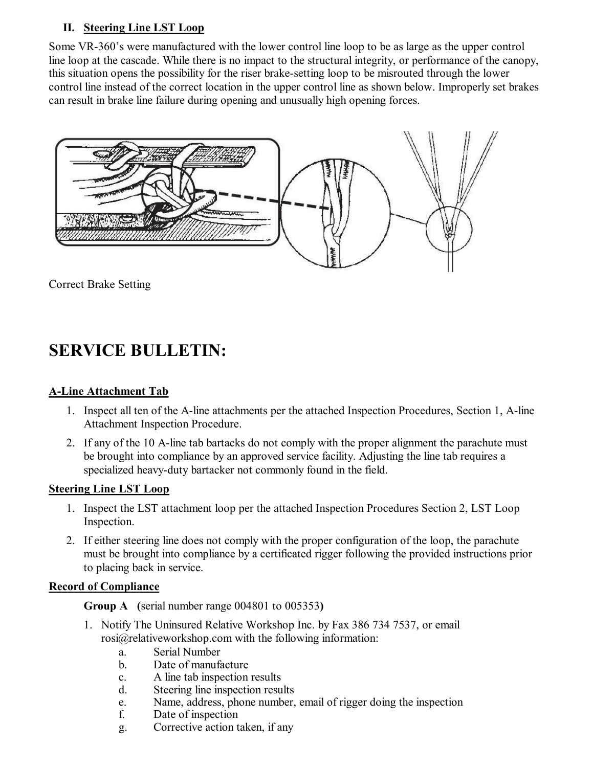#### **II. Steering Line LST Loop**

Some VR-360's were manufactured with the lower control line loop to be as large as the upper control line loop at the cascade. While there is no impact to the structural integrity, or performance of the canopy, this situation opens the possibility for the riser brake-setting loop to be misrouted through the lower control line instead of the correct location in the upper control line as shown below. Improperly set brakes can result in brake line failure during opening and unusually high opening forces.



Correct Brake Setting

# **SERVICE BULLETIN:**

## **ALine Attachment Tab**

- 1. Inspect all ten of the A-line attachments per the attached Inspection Procedures, Section 1, A-line Attachment Inspection Procedure.
- 2. If any of the 10 A-line tab bartacks do not comply with the proper alignment the parachute must be brought into compliance by an approved service facility. Adjusting the line tab requires a specialized heavy-duty bartacker not commonly found in the field.

#### **Steering Line LST Loop**

- 1. Inspect the LST attachment loop per the attached Inspection Procedures Section 2, LST Loop Inspection.
- 2. If either steering line does not comply with the proper configuration of the loop, the parachute must be brought into compliance by a certificated rigger following the provided instructions prior to placing back in service.

## **Record of Compliance**

**Group A (**serial number range 004801 to 005353**)**

- 1. Notify The Uninsured Relative Workshop Inc. by Fax 386 734 7537, or email rosi@relativeworkshop.com with the following information:
	- a. Serial Number
	- b. Date of manufacture
	- c. A line tab inspection results
	- d. Steering line inspection results
	- e. Name, address, phone number, email of rigger doing the inspection
	- f. Date of inspection
	- g. Corrective action taken, if any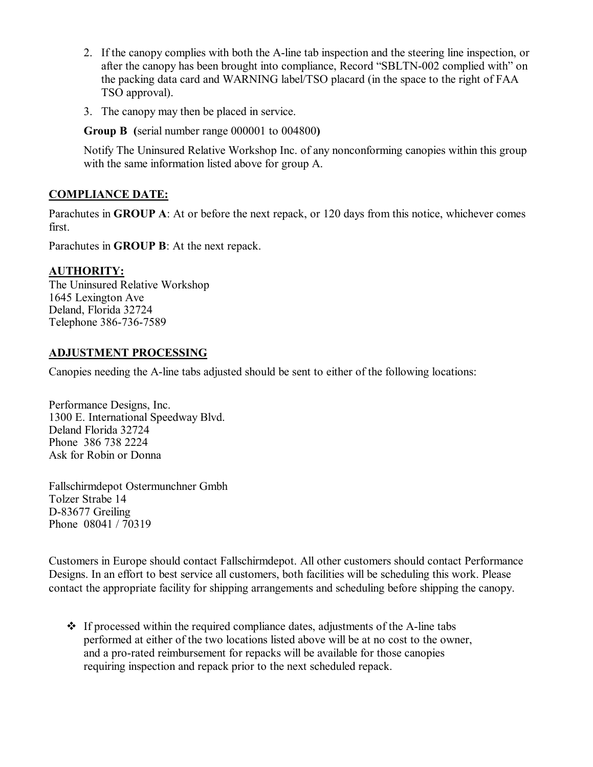- 2. If the canopy complies with both the A-line tab inspection and the steering line inspection, or after the canopy has been brought into compliance, Record "SBLTN-002 complied with" on the packing data card and WARNING label/TSO placard (in the space to the right of FAA TSO approval).
- 3. The canopy may then be placed in service.

**Group B (**serial number range 000001 to 004800**)**

Notify The Uninsured Relative Workshop Inc. of any nonconforming canopies within this group with the same information listed above for group A.

## **COMPLIANCE DATE:**

Parachutes in **GROUP A**: At or before the next repack, or 120 days from this notice, whichever comes first.

Parachutes in **GROUP B**: At the next repack.

## **AUTHORITY:**

The Uninsured Relative Workshop 1645 Lexington Ave Deland, Florida 32724 Telephone 386-736-7589

#### **ADJUSTMENT PROCESSING**

Canopies needing the A-line tabs adjusted should be sent to either of the following locations:

Performance Designs, Inc. 1300 E. International Speedway Blvd. Deland Florida 32724 Phone 386 738 2224 Ask for Robin or Donna

Fallschirmdepot Ostermunchner Gmbh Tolzer Strabe 14 D-83677 Greiling Phone 08041 / 70319

Customers in Europe should contact Fallschirmdepot. All other customers should contact Performance Designs. In an effort to best service all customers, both facilities will be scheduling this work. Please contact the appropriate facility for shipping arrangements and scheduling before shipping the canopy.

 $\div$  If processed within the required compliance dates, adjustments of the A-line tabs performed at either of the two locations listed above will be at no cost to the owner, and a pro-rated reimbursement for repacks will be available for those canopies requiring inspection and repack prior to the next scheduled repack.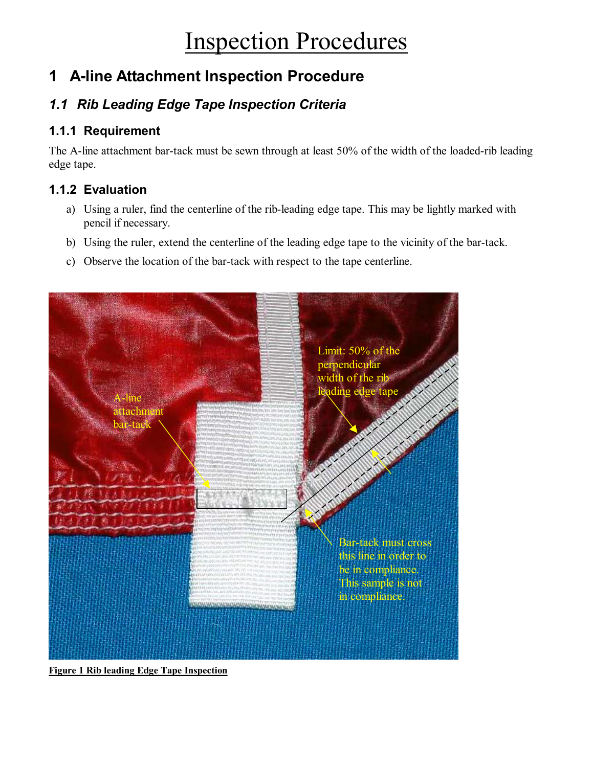# Inspection Procedures

# **1 Aline Attachment Inspection Procedure**

## *1.1 Rib Leading Edge Tape Inspection Criteria*

## **1.1.1 Requirement**

The A-line attachment bar-tack must be sewn through at least 50% of the width of the loaded-rib leading edge tape.

## **1.1.2 Evaluation**

- a) Using a ruler, find the centerline of the rib-leading edge tape. This may be lightly marked with pencil if necessary.
- b) Using the ruler, extend the centerline of the leading edge tape to the vicinity of the bar-tack.
- c) Observe the location of the bar-tack with respect to the tape centerline.



**Figure 1 Rib leading Edge Tape Inspection**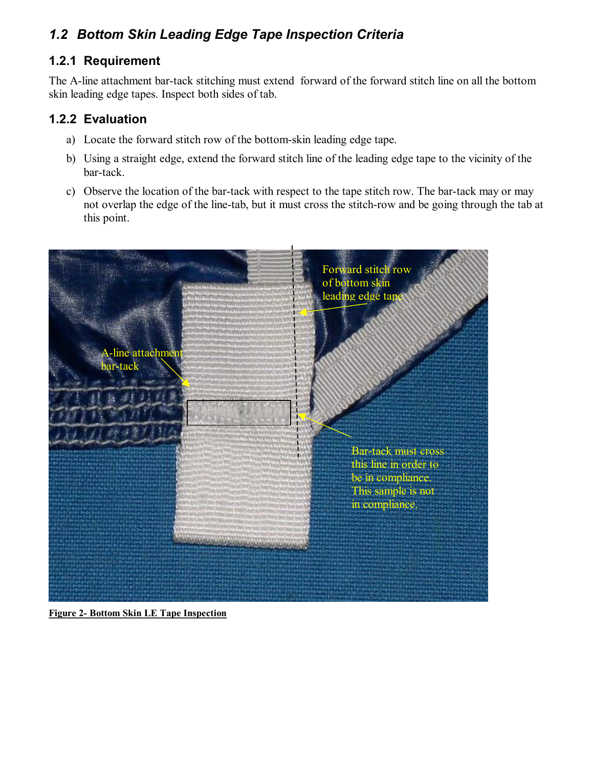## *1.2 Bottom Skin Leading Edge Tape Inspection Criteria*

## **1.2.1 Requirement**

The A-line attachment bar-tack stitching must extend forward of the forward stitch line on all the bottom skin leading edge tapes. Inspect both sides of tab.

## **1.2.2 Evaluation**

- a) Locate the forward stitch row of the bottom-skin leading edge tape.
- b) Using a straight edge, extend the forward stitch line of the leading edge tape to the vicinity of the bar-tack.
- c) Observe the location of the bar-tack with respect to the tape stitch row. The bar-tack may or may not overlap the edge of the line-tab, but it must cross the stitch-row and be going through the tab at this point.



**Figure 2- Bottom Skin LE Tape Inspection**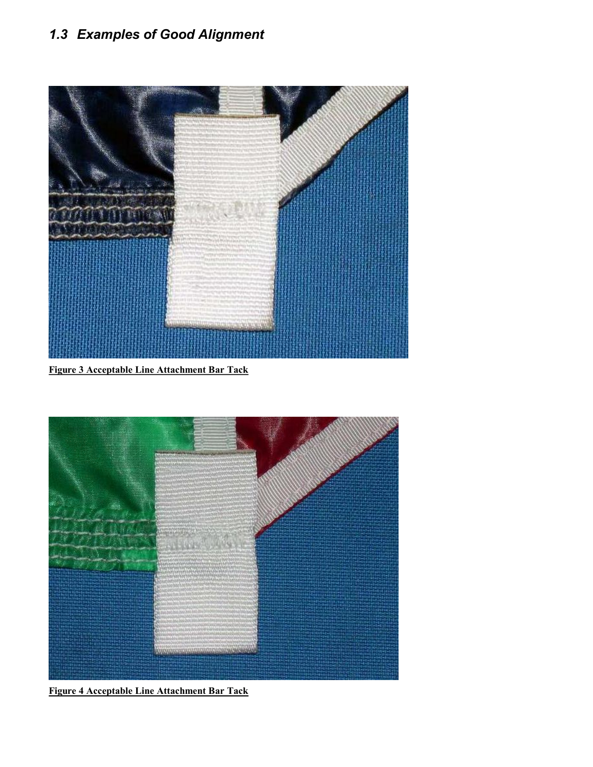## *1.3 Examples of Good Alignment*



**Figure 3 Acceptable Line Attachment Bar Tack**



**Figure 4 Acceptable Line Attachment Bar Tack**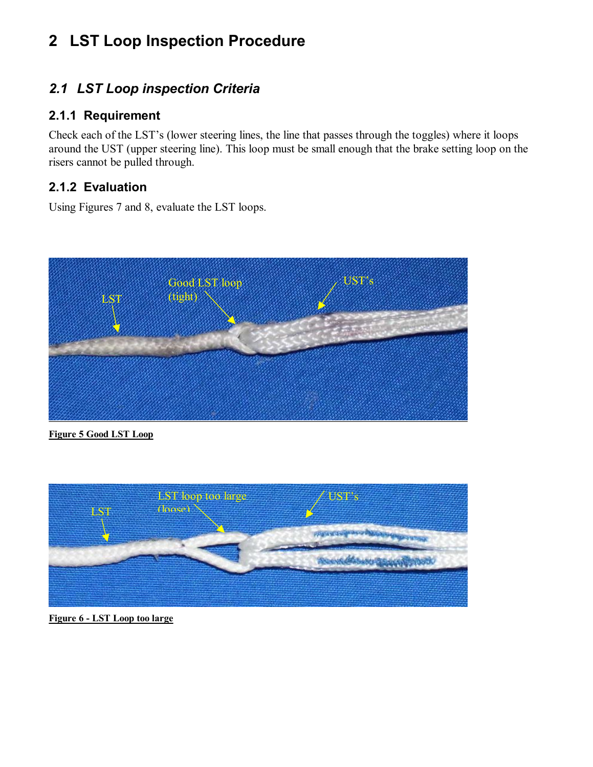# **2 LST Loop Inspection Procedure**

## *2.1 LST Loop inspection Criteria*

## **2.1.1 Requirement**

Check each of the LST's (lower steering lines, the line that passes through the toggles) where it loops around the UST (upper steering line). This loop must be small enough that the brake setting loop on the risers cannot be pulled through.

## **2.1.2 Evaluation**

Using Figures 7 and 8, evaluate the LST loops.



**Figure 5 Good LST Loop**



**Figure 6 LST Loop too large**